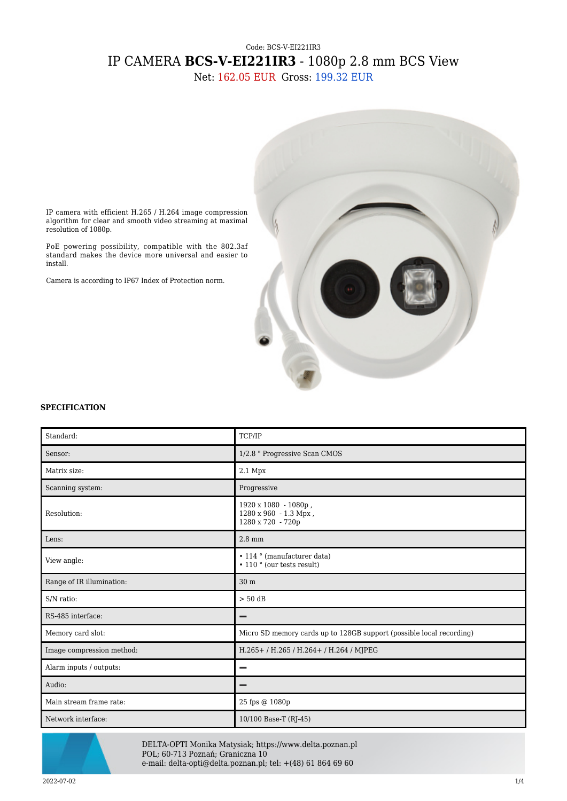# Code: BCS-V-EI221IR3 IP CAMERA **BCS-V-EI221IR3** - 1080p 2.8 mm BCS View

Net: 162.05 EUR Gross: 199.32 EUR



IP camera with efficient H.265 / H.264 image compression algorithm for clear and smooth video streaming at maximal resolution of 1080p.

PoE powering possibility, compatible with the 802.3af standard makes the device more universal and easier to install.

Camera is according to IP67 Index of Protection norm.

#### **SPECIFICATION**

| Standard:                 | TCP/IP                                                                |
|---------------------------|-----------------------------------------------------------------------|
| Sensor:                   | 1/2.8 " Progressive Scan CMOS                                         |
| Matrix size:              | $2.1$ Mpx                                                             |
| Scanning system:          | Progressive                                                           |
| Resolution:               | 1920 x 1080 - 1080p,<br>1280 x 960 - 1.3 Mpx,<br>1280 x 720 - 720p    |
| Lens:                     | $2.8 \text{ mm}$                                                      |
| View angle:               | $\cdot$ 114 $\circ$ (manufacturer data)<br>• 110 ° (our tests result) |
| Range of IR illumination: | 30 m                                                                  |
| S/N ratio:                | $> 50$ dB                                                             |
| RS-485 interface:         |                                                                       |
| Memory card slot:         | Micro SD memory cards up to 128GB support (possible local recording)  |
| Image compression method: | H.265+/H.265/H.264+/H.264/MJPEG                                       |
| Alarm inputs / outputs:   | -                                                                     |
| Audio:                    | -                                                                     |
| Main stream frame rate:   | 25 fps @ 1080p                                                        |
| Network interface:        | 10/100 Base-T (RJ-45)                                                 |



DELTA-OPTI Monika Matysiak; https://www.delta.poznan.pl POL; 60-713 Poznań; Graniczna 10 e-mail: delta-opti@delta.poznan.pl; tel: +(48) 61 864 69 60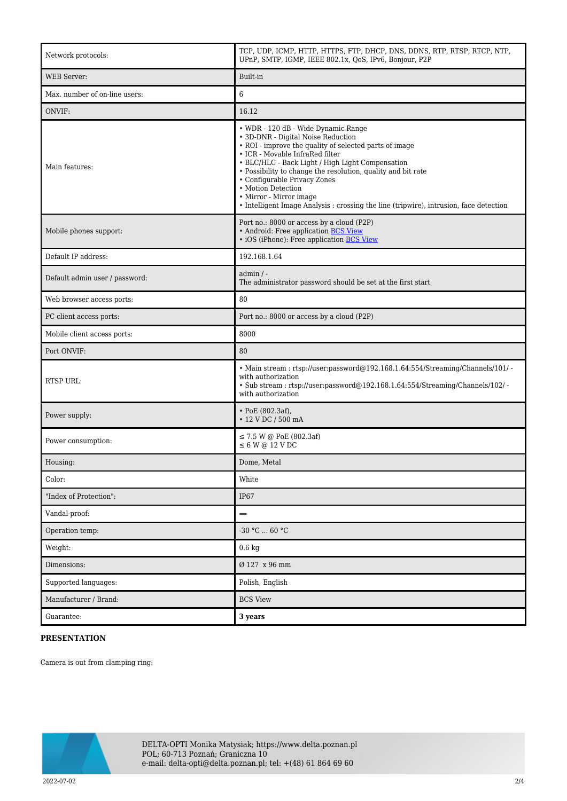| Network protocols:             | TCP, UDP, ICMP, HTTP, HTTPS, FTP, DHCP, DNS, DDNS, RTP, RTSP, RTCP, NTP,<br>UPnP, SMTP, IGMP, IEEE 802.1x, QoS, IPv6, Bonjour, P2P                                                                                                                                                                                                                                                                                                                                    |
|--------------------------------|-----------------------------------------------------------------------------------------------------------------------------------------------------------------------------------------------------------------------------------------------------------------------------------------------------------------------------------------------------------------------------------------------------------------------------------------------------------------------|
| <b>WEB</b> Server:             | Built-in                                                                                                                                                                                                                                                                                                                                                                                                                                                              |
| Max. number of on-line users:  | 6                                                                                                                                                                                                                                                                                                                                                                                                                                                                     |
| ONVIF:                         | 16.12                                                                                                                                                                                                                                                                                                                                                                                                                                                                 |
| Main features:                 | • WDR - 120 dB - Wide Dynamic Range<br>• 3D-DNR - Digital Noise Reduction<br>• ROI - improve the quality of selected parts of image<br>• ICR - Movable InfraRed filter<br>• BLC/HLC - Back Light / High Light Compensation<br>· Possibility to change the resolution, quality and bit rate<br>• Configurable Privacy Zones<br>• Motion Detection<br>• Mirror - Mirror image<br>• Intelligent Image Analysis : crossing the line (tripwire), intrusion, face detection |
| Mobile phones support:         | Port no.: 8000 or access by a cloud (P2P)<br>• Android: Free application BCS View<br>· iOS (iPhone): Free application BCS View                                                                                                                                                                                                                                                                                                                                        |
| Default IP address:            | 192.168.1.64                                                                                                                                                                                                                                                                                                                                                                                                                                                          |
| Default admin user / password: | $admin / -$<br>The administrator password should be set at the first start                                                                                                                                                                                                                                                                                                                                                                                            |
| Web browser access ports:      | 80                                                                                                                                                                                                                                                                                                                                                                                                                                                                    |
| PC client access ports:        | Port no.: 8000 or access by a cloud (P2P)                                                                                                                                                                                                                                                                                                                                                                                                                             |
| Mobile client access ports:    | 8000                                                                                                                                                                                                                                                                                                                                                                                                                                                                  |
| Port ONVIF:                    | 80                                                                                                                                                                                                                                                                                                                                                                                                                                                                    |
| RTSP URL:                      | • Main stream: rtsp://user:password@192.168.1.64:554/Streaming/Channels/101/ -<br>with authorization<br>· Sub stream: rtsp://user:password@192.168.1.64:554/Streaming/Channels/102/ -<br>with authorization                                                                                                                                                                                                                                                           |
| Power supply:                  | • PoE $(802.3af)$ ,<br>• 12 V DC / 500 mA                                                                                                                                                                                                                                                                                                                                                                                                                             |
| Power consumption:             | $\leq$ 7.5 W @ PoE (802.3af)<br>$\leq 6$ W @ 12 V DC                                                                                                                                                                                                                                                                                                                                                                                                                  |
| Housing:                       | Dome, Metal                                                                                                                                                                                                                                                                                                                                                                                                                                                           |
| Color:                         | White                                                                                                                                                                                                                                                                                                                                                                                                                                                                 |
| "Index of Protection":         | <b>IP67</b>                                                                                                                                                                                                                                                                                                                                                                                                                                                           |
| Vandal-proof:                  | -                                                                                                                                                                                                                                                                                                                                                                                                                                                                     |
| Operation temp:                | -30 °C  60 °C                                                                                                                                                                                                                                                                                                                                                                                                                                                         |
| Weight:                        | $0.6\ \mathrm{kg}$                                                                                                                                                                                                                                                                                                                                                                                                                                                    |
| Dimensions:                    | Ø 127 x 96 mm                                                                                                                                                                                                                                                                                                                                                                                                                                                         |
| Supported languages:           | Polish, English                                                                                                                                                                                                                                                                                                                                                                                                                                                       |
| Manufacturer / Brand:          | <b>BCS View</b>                                                                                                                                                                                                                                                                                                                                                                                                                                                       |
| Guarantee:                     | 3 years                                                                                                                                                                                                                                                                                                                                                                                                                                                               |

### **PRESENTATION**

Camera is out from clamping ring:

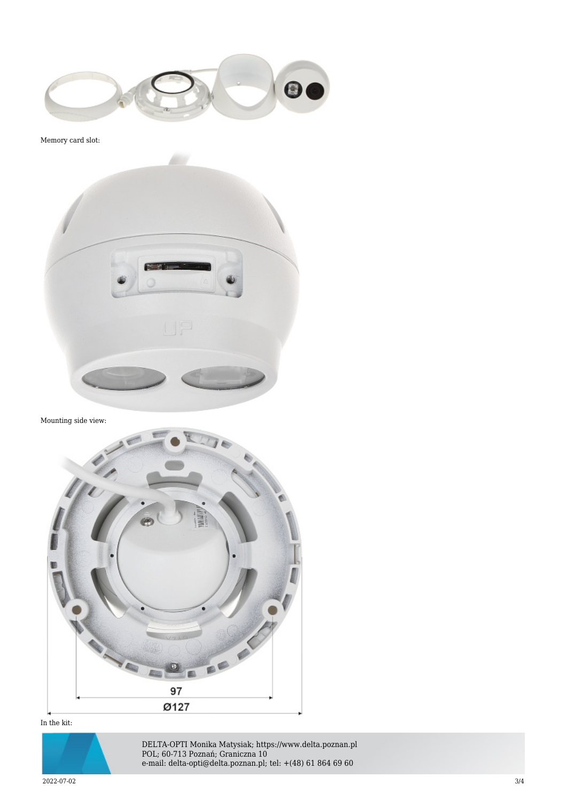

Memory card slot:



Mounting side view:



## In the kit:



DELTA-OPTI Monika Matysiak; https://www.delta.poznan.pl POL; 60-713 Poznań; Graniczna 10 e-mail: delta-opti@delta.poznan.pl; tel: +(48) 61 864 69 60

 $2022$ -07-02  $3/4$